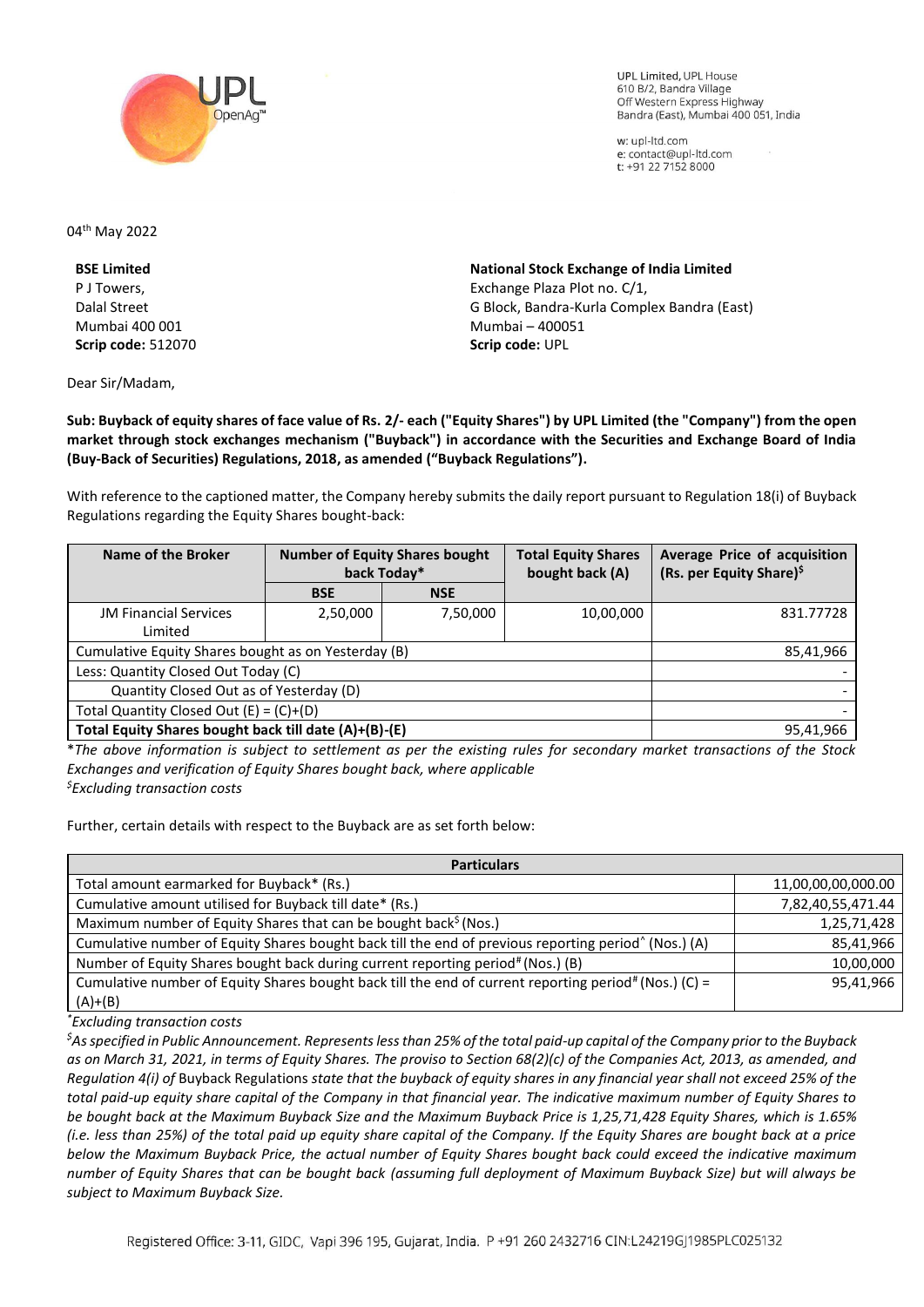

UPL Limited, UPL House 610 B/2, Bandra Village Off Western Express Highway Bandra (East), Mumbai 400 051, India

w: upl-ltd.com e: contact@upl-ltd.com t: +91 22 7152 8000

04<sup>th</sup> May 2022

**BSE Limited**  P J Towers, Dalal Street Mumbai 400 001 **Scrip code:** 512070

Dear Sir/Madam,

**National Stock Exchange of India Limited**  Exchange Plaza Plot no. C/1, G Block, Bandra-Kurla Complex Bandra (East) Mumbai – 400051 **Scrip code:** UPL

**Sub: Buyback of equity shares of face value of Rs. 2/- each ("Equity Shares") by UPL Limited (the "Company") from the open market through stock exchanges mechanism ("Buyback") in accordance with the Securities and Exchange Board of India (Buy-Back of Securities) Regulations, 2018, as amended ("Buyback Regulations").**

With reference to the captioned matter, the Company hereby submits the daily report pursuant to Regulation 18(i) of Buyback Regulations regarding the Equity Shares bought-back:

| Name of the Broker                                    | <b>Number of Equity Shares bought</b><br>back Today* |            | <b>Total Equity Shares</b><br>bought back (A) | Average Price of acquisition<br>(Rs. per Equity Share) <sup>\$</sup> |
|-------------------------------------------------------|------------------------------------------------------|------------|-----------------------------------------------|----------------------------------------------------------------------|
|                                                       | <b>BSE</b>                                           | <b>NSE</b> |                                               |                                                                      |
| <b>JM Financial Services</b>                          | 2,50,000                                             | 7,50,000   | 10,00,000                                     | 831.77728                                                            |
| Limited                                               |                                                      |            |                                               |                                                                      |
| Cumulative Equity Shares bought as on Yesterday (B)   |                                                      |            |                                               | 85,41,966                                                            |
| Less: Quantity Closed Out Today (C)                   |                                                      |            |                                               |                                                                      |
| Quantity Closed Out as of Yesterday (D)               |                                                      |            |                                               |                                                                      |
| Total Quantity Closed Out $(E) = (C)+(D)$             |                                                      |            |                                               |                                                                      |
| Total Equity Shares bought back till date (A)+(B)-(E) |                                                      |            |                                               | 95,41,966                                                            |

\**The above information is subject to settlement as per the existing rules for secondary market transactions of the Stock Exchanges and verification of Equity Shares bought back, where applicable \$Excluding transaction costs*

Further, certain details with respect to the Buyback are as set forth below:

| <b>Particulars</b>                                                                                               |                    |  |  |  |
|------------------------------------------------------------------------------------------------------------------|--------------------|--|--|--|
| Total amount earmarked for Buyback* (Rs.)                                                                        | 11,00,00,00,000.00 |  |  |  |
| Cumulative amount utilised for Buyback till date* (Rs.)                                                          | 7,82,40,55,471.44  |  |  |  |
| Maximum number of Equity Shares that can be bought back <sup>\$</sup> (Nos.)                                     | 1,25,71,428        |  |  |  |
| Cumulative number of Equity Shares bought back till the end of previous reporting period <sup>^</sup> (Nos.) (A) | 85,41,966          |  |  |  |
| Number of Equity Shares bought back during current reporting period# (Nos.) (B)                                  | 10,00,000          |  |  |  |
| Cumulative number of Equity Shares bought back till the end of current reporting period# (Nos.) (C) =            | 95,41,966          |  |  |  |
| $(A)+(B)$                                                                                                        |                    |  |  |  |

*\*Excluding transaction costs*

*\$As specified in Public Announcement. Represents less than 25% of the total paid-up capital of the Company prior to the Buyback as on March 31, 2021, in terms of Equity Shares. The proviso to Section 68(2)(c) of the Companies Act, 2013, as amended, and Regulation 4(i) of* Buyback Regulations *state that the buyback of equity shares in any financial year shall not exceed 25% of the total paid-up equity share capital of the Company in that financial year. The indicative maximum number of Equity Shares to be bought back at the Maximum Buyback Size and the Maximum Buyback Price is 1,25,71,428 Equity Shares, which is 1.65% (i.e. less than 25%) of the total paid up equity share capital of the Company. If the Equity Shares are bought back at a price below the Maximum Buyback Price, the actual number of Equity Shares bought back could exceed the indicative maximum number of Equity Shares that can be bought back (assuming full deployment of Maximum Buyback Size) but will always be subject to Maximum Buyback Size.*